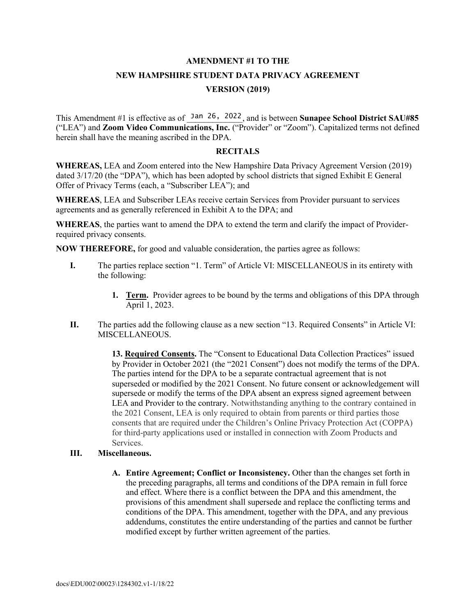# **AMENDMENT #1 TO THE**

## **NEW HAMPSHIRE STUDENT DATA PRIVACY AGREEMENT VERSION (2019)**

This Amendment #1 is effective as of Jan 26, 2022, and is between **Sunapee School District SAU#85** ("LEA") and **Zoom Video Communications, Inc.** ("Provider" or "Zoom"). Capitalized terms not defined herein shall have the meaning ascribed in the DPA.

#### **RECITALS**

**WHEREAS,** LEA and Zoom entered into the New Hampshire Data Privacy Agreement Version (2019) dated 3/17/20 (the "DPA"), which has been adopted by school districts that signed Exhibit E General Offer of Privacy Terms (each, a "Subscriber LEA"); and

**WHEREAS**, LEA and Subscriber LEAs receive certain Services from Provider pursuant to services agreements and as generally referenced in Exhibit A to the DPA; and

**WHEREAS**, the parties want to amend the DPA to extend the term and clarify the impact of Providerrequired privacy consents.

**NOW THEREFORE,** for good and valuable consideration, the parties agree as follows:

- **I.** The parties replace section "1. Term" of Article VI: MISCELLANEOUS in its entirety with the following:
	- **1. Term.** Provider agrees to be bound by the terms and obligations of this DPA through April 1, 2023.
- **II.** The parties add the following clause as a new section "13. Required Consents" in Article VI: MISCELLANEOUS.

**13. Required Consents.** The "Consent to Educational Data Collection Practices" issued by Provider in October 2021 (the "2021 Consent") does not modify the terms of the DPA. The parties intend for the DPA to be a separate contractual agreement that is not superseded or modified by the 2021 Consent. No future consent or acknowledgement will supersede or modify the terms of the DPA absent an express signed agreement between LEA and Provider to the contrary. Notwithstanding anything to the contrary contained in the 2021 Consent, LEA is only required to obtain from parents or third parties those consents that are required under the Children's Online Privacy Protection Act (COPPA) for third-party applications used or installed in connection with Zoom Products and Services.

#### **III. Miscellaneous.**

**A. Entire Agreement; Conflict or Inconsistency.** Other than the changes set forth in the preceding paragraphs, all terms and conditions of the DPA remain in full force and effect. Where there is a conflict between the DPA and this amendment, the provisions of this amendment shall supersede and replace the conflicting terms and conditions of the DPA. This amendment, together with the DPA, and any previous addendums, constitutes the entire understanding of the parties and cannot be further modified except by further written agreement of the parties.